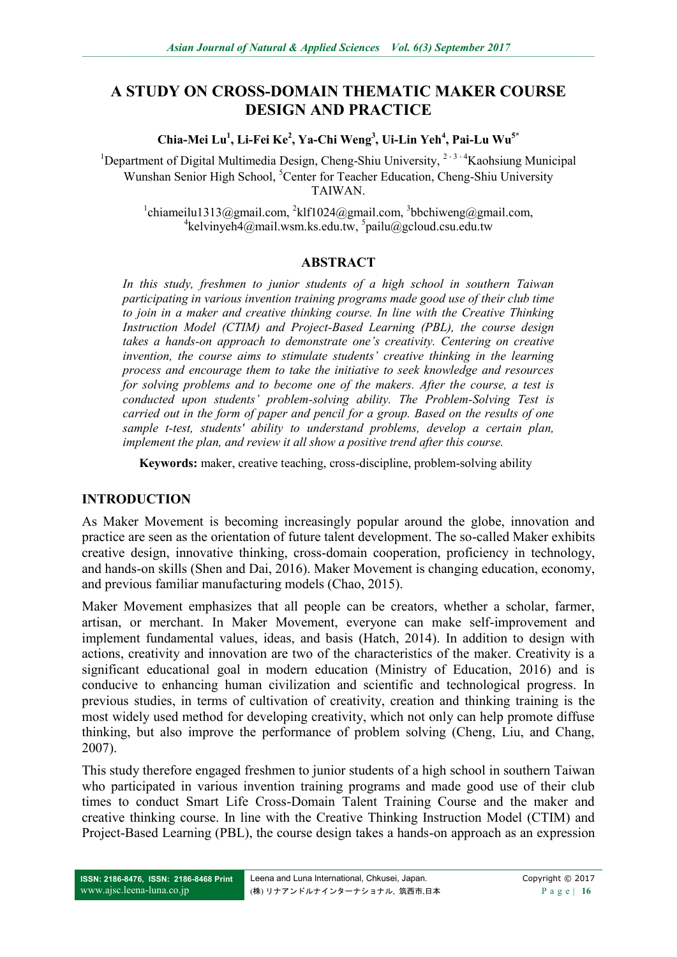# **A STUDY ON CROSS-DOMAIN THEMATIC MAKER COURSE DESIGN AND PRACTICE**

**Chia-Mei Lu<sup>1</sup> , Li-Fei Ke<sup>2</sup> , Ya-Chi Weng<sup>3</sup> , Ui-Lin Yeh<sup>4</sup> , Pai-Lu Wu5\***

<sup>1</sup>Department of Digital Multimedia Design, Cheng-Shiu University, <sup>2,3,4</sup>Kaohsiung Municipal Wunshan Senior High School, <sup>5</sup>Center for Teacher Education, Cheng-Shiu University TAIWAN.

 $1$ chiameilu1313@gmail.com,  $2$ klf1024@gmail.com,  $3$ bbchiweng@gmail.com,  $4$ kelvinyeh $4$ @mail.wsm.ks.edu.tw,  $5$ pailu@gcloud.csu.edu.tw

#### **ABSTRACT**

*In this study, freshmen to junior students of a high school in southern Taiwan participating in various invention training programs made good use of their club time to join in a maker and creative thinking course. In line with the Creative Thinking Instruction Model (CTIM) and Project-Based Learning (PBL), the course design takes a hands-on approach to demonstrate one's creativity. Centering on creative invention, the course aims to stimulate students' creative thinking in the learning process and encourage them to take the initiative to seek knowledge and resources for solving problems and to become one of the makers. After the course, a test is conducted upon students' problem-solving ability. The Problem-Solving Test is carried out in the form of paper and pencil for a group. Based on the results of one sample t-test, students' ability to understand problems, develop a certain plan, implement the plan, and review it all show a positive trend after this course.*

**Keywords:** maker, creative teaching, cross-discipline, problem-solving ability

## **INTRODUCTION**

As Maker Movement is becoming increasingly popular around the globe, innovation and practice are seen as the orientation of future talent development. The so-called Maker exhibits creative design, innovative thinking, cross-domain cooperation, proficiency in technology, and hands-on skills (Shen and Dai, 2016). Maker Movement is changing education, economy, and previous familiar manufacturing models (Chao, 2015).

Maker Movement emphasizes that all people can be creators, whether a scholar, farmer, artisan, or merchant. In Maker Movement, everyone can make self-improvement and implement fundamental values, ideas, and basis (Hatch, 2014). In addition to design with actions, creativity and innovation are two of the characteristics of the maker. Creativity is a significant educational goal in modern education (Ministry of Education, 2016) and is conducive to enhancing human civilization and scientific and technological progress. In previous studies, in terms of cultivation of creativity, creation and thinking training is the most widely used method for developing creativity, which not only can help promote diffuse thinking, but also improve the performance of problem solving (Cheng, Liu, and Chang, 2007).

This study therefore engaged freshmen to junior students of a high school in southern Taiwan who participated in various invention training programs and made good use of their club times to conduct Smart Life Cross-Domain Talent Training Course and the maker and creative thinking course. In line with the Creative Thinking Instruction Model (CTIM) and Project-Based Learning (PBL), the course design takes a hands-on approach as an expression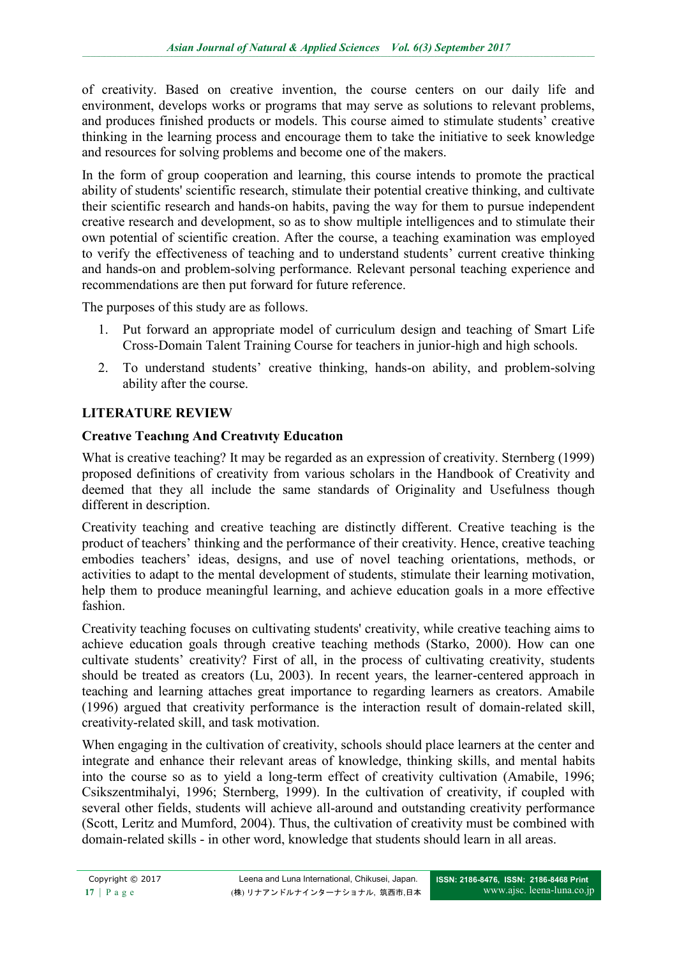of creativity. Based on creative invention, the course centers on our daily life and environment, develops works or programs that may serve as solutions to relevant problems, and produces finished products or models. This course aimed to stimulate students' creative thinking in the learning process and encourage them to take the initiative to seek knowledge and resources for solving problems and become one of the makers.

In the form of group cooperation and learning, this course intends to promote the practical ability of students' scientific research, stimulate their potential creative thinking, and cultivate their scientific research and hands-on habits, paving the way for them to pursue independent creative research and development, so as to show multiple intelligences and to stimulate their own potential of scientific creation. After the course, a teaching examination was employed to verify the effectiveness of teaching and to understand students' current creative thinking and hands-on and problem-solving performance. Relevant personal teaching experience and recommendations are then put forward for future reference.

The purposes of this study are as follows.

- 1. Put forward an appropriate model of curriculum design and teaching of Smart Life Cross-Domain Talent Training Course for teachers in junior-high and high schools.
- 2. To understand students' creative thinking, hands-on ability, and problem-solving ability after the course.

## **LITERATURE REVIEW**

## **Creatıve Teachıng And Creatıvıty Educatıon**

What is creative teaching? It may be regarded as an expression of creativity. Sternberg (1999) proposed definitions of creativity from various scholars in the Handbook of Creativity and deemed that they all include the same standards of Originality and Usefulness though different in description.

Creativity teaching and creative teaching are distinctly different. Creative teaching is the product of teachers' thinking and the performance of their creativity. Hence, creative teaching embodies teachers' ideas, designs, and use of novel teaching orientations, methods, or activities to adapt to the mental development of students, stimulate their learning motivation, help them to produce meaningful learning, and achieve education goals in a more effective fashion.

Creativity teaching focuses on cultivating students' creativity, while creative teaching aims to achieve education goals through creative teaching methods (Starko, 2000). How can one cultivate students' creativity? First of all, in the process of cultivating creativity, students should be treated as creators (Lu, 2003). In recent years, the learner-centered approach in teaching and learning attaches great importance to regarding learners as creators. Amabile (1996) argued that creativity performance is the interaction result of domain-related skill, creativity-related skill, and task motivation.

When engaging in the cultivation of creativity, schools should place learners at the center and integrate and enhance their relevant areas of knowledge, thinking skills, and mental habits into the course so as to yield a long-term effect of creativity cultivation (Amabile, 1996; Csikszentmihalyi, 1996; Sternberg, 1999). In the cultivation of creativity, if coupled with several other fields, students will achieve all-around and outstanding creativity performance (Scott, Leritz and Mumford, 2004). Thus, the cultivation of creativity must be combined with domain-related skills - in other word, knowledge that students should learn in all areas.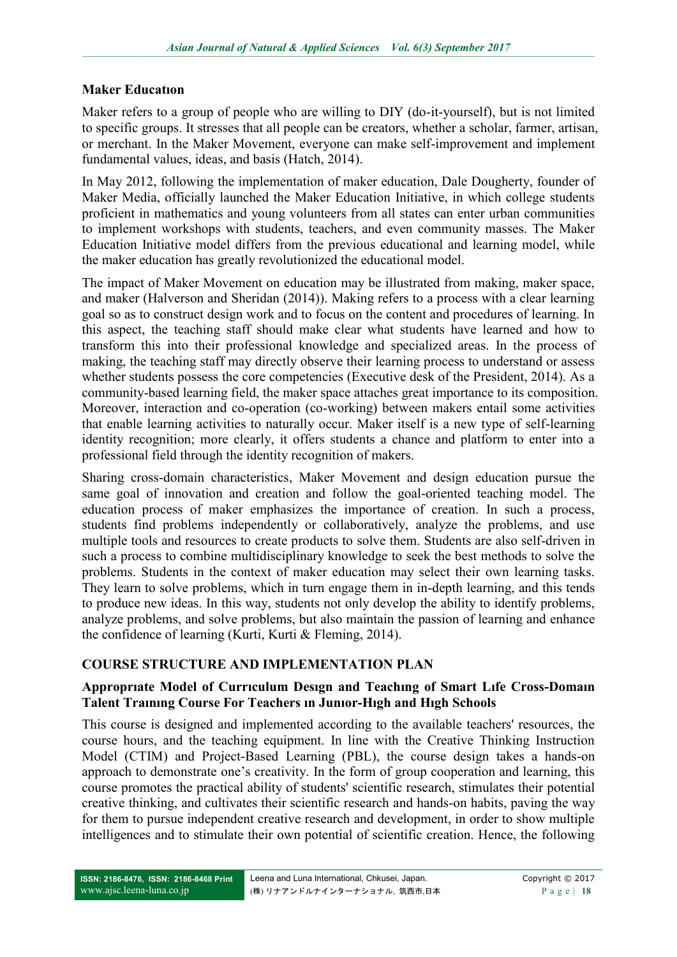#### **Maker Educatıon**

Maker refers to a group of people who are willing to DIY (do-it-yourself), but is not limited to specific groups. It stresses that all people can be creators, whether a scholar, farmer, artisan, or merchant. In the Maker Movement, everyone can make self-improvement and implement fundamental values, ideas, and basis (Hatch, 2014).

In May 2012, following the implementation of maker education, Dale Dougherty, founder of Maker Media, officially launched the Maker Education Initiative, in which college students proficient in mathematics and young volunteers from all states can enter urban communities to implement workshops with students, teachers, and even community masses. The Maker Education Initiative model differs from the previous educational and learning model, while the maker education has greatly revolutionized the educational model.

The impact of Maker Movement on education may be illustrated from making, maker space, and maker (Halverson and Sheridan (2014)). Making refers to a process with a clear learning goal so as to construct design work and to focus on the content and procedures of learning. In this aspect, the teaching staff should make clear what students have learned and how to transform this into their professional knowledge and specialized areas. In the process of making, the teaching staff may directly observe their learning process to understand or assess whether students possess the core competencies (Executive desk of the President, 2014). As a community-based learning field, the maker space attaches great importance to its composition. Moreover, interaction and co-operation (co-working) between makers entail some activities that enable learning activities to naturally occur. Maker itself is a new type of self-learning identity recognition; more clearly, it offers students a chance and platform to enter into a professional field through the identity recognition of makers.

Sharing cross-domain characteristics, Maker Movement and design education pursue the same goal of innovation and creation and follow the goal-oriented teaching model. The education process of maker emphasizes the importance of creation. In such a process, students find problems independently or collaboratively, analyze the problems, and use multiple tools and resources to create products to solve them. Students are also self-driven in such a process to combine multidisciplinary knowledge to seek the best methods to solve the problems. Students in the context of maker education may select their own learning tasks. They learn to solve problems, which in turn engage them in in-depth learning, and this tends to produce new ideas. In this way, students not only develop the ability to identify problems, analyze problems, and solve problems, but also maintain the passion of learning and enhance the confidence of learning (Kurti, Kurti & Fleming, 2014).

## **COURSE STRUCTURE AND IMPLEMENTATION PLAN**

#### **Approprıate Model of Currıculum Desıgn and Teachıng of Smart Lıfe Cross-Domaın Talent Traınıng Course For Teachers ın Junıor-Hıgh and Hıgh Schools**

This course is designed and implemented according to the available teachers' resources, the course hours, and the teaching equipment. In line with the Creative Thinking Instruction Model (CTIM) and Project-Based Learning (PBL), the course design takes a hands-on approach to demonstrate one's creativity. In the form of group cooperation and learning, this course promotes the practical ability of students' scientific research, stimulates their potential creative thinking, and cultivates their scientific research and hands-on habits, paving the way for them to pursue independent creative research and development, in order to show multiple intelligences and to stimulate their own potential of scientific creation. Hence, the following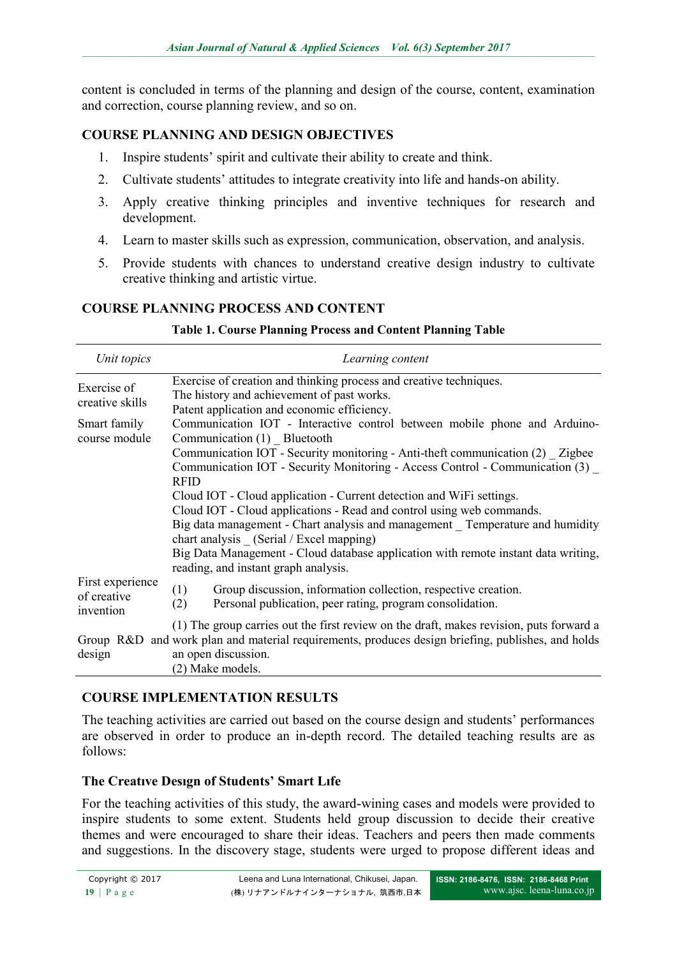content is concluded in terms of the planning and design of the course, content, examination and correction, course planning review, and so on.

## **COURSE PLANNING AND DESIGN OBJECTIVES**

- 1. Inspire students' spirit and cultivate their ability to create and think.
- 2. Cultivate students' attitudes to integrate creativity into life and hands-on ability.
- 3. Apply creative thinking principles and inventive techniques for research and development.
- 4. Learn to master skills such as expression, communication, observation, and analysis.
- 5. Provide students with chances to understand creative design industry to cultivate creative thinking and artistic virtue.

## **COURSE PLANNING PROCESS AND CONTENT**

| Unit topics                                  | Learning content                                                                                                                                                                                                    |  |  |  |  |  |
|----------------------------------------------|---------------------------------------------------------------------------------------------------------------------------------------------------------------------------------------------------------------------|--|--|--|--|--|
| Exercise of<br>creative skills               | Exercise of creation and thinking process and creative techniques.<br>The history and achievement of past works.<br>Patent application and economic efficiency.                                                     |  |  |  |  |  |
| Smart family<br>course module                | Communication IOT - Interactive control between mobile phone and Arduino-<br>Communication (1) Bluetooth                                                                                                            |  |  |  |  |  |
|                                              | Communication IOT - Security monitoring - Anti-theft communication (2) Zigbee<br>Communication IOT - Security Monitoring - Access Control - Communication (3)<br><b>RFID</b>                                        |  |  |  |  |  |
|                                              | Cloud IOT - Cloud application - Current detection and WiFi settings.<br>Cloud IOT - Cloud applications - Read and control using web commands.                                                                       |  |  |  |  |  |
|                                              | Big data management - Chart analysis and management Temperature and humidity<br>chart analysis (Serial / Excel mapping)                                                                                             |  |  |  |  |  |
|                                              | Big Data Management - Cloud database application with remote instant data writing,<br>reading, and instant graph analysis.                                                                                          |  |  |  |  |  |
| First experience<br>of creative<br>invention | (1)<br>Group discussion, information collection, respective creation.<br>Personal publication, peer rating, program consolidation.<br>(2)                                                                           |  |  |  |  |  |
| design                                       | (1) The group carries out the first review on the draft, makes revision, puts forward a<br>Group R&D and work plan and material requirements, produces design briefing, publishes, and holds<br>an open discussion. |  |  |  |  |  |
|                                              | (2) Make models.                                                                                                                                                                                                    |  |  |  |  |  |

#### **Table 1. Course Planning Process and Content Planning Table**

## **COURSE IMPLEMENTATION RESULTS**

The teaching activities are carried out based on the course design and students' performances are observed in order to produce an in-depth record. The detailed teaching results are as follows:

## **The Creatıve Desıgn of Students' Smart Lıfe**

For the teaching activities of this study, the award-wining cases and models were provided to inspire students to some extent. Students held group discussion to decide their creative themes and were encouraged to share their ideas. Teachers and peers then made comments and suggestions. In the discovery stage, students were urged to propose different ideas and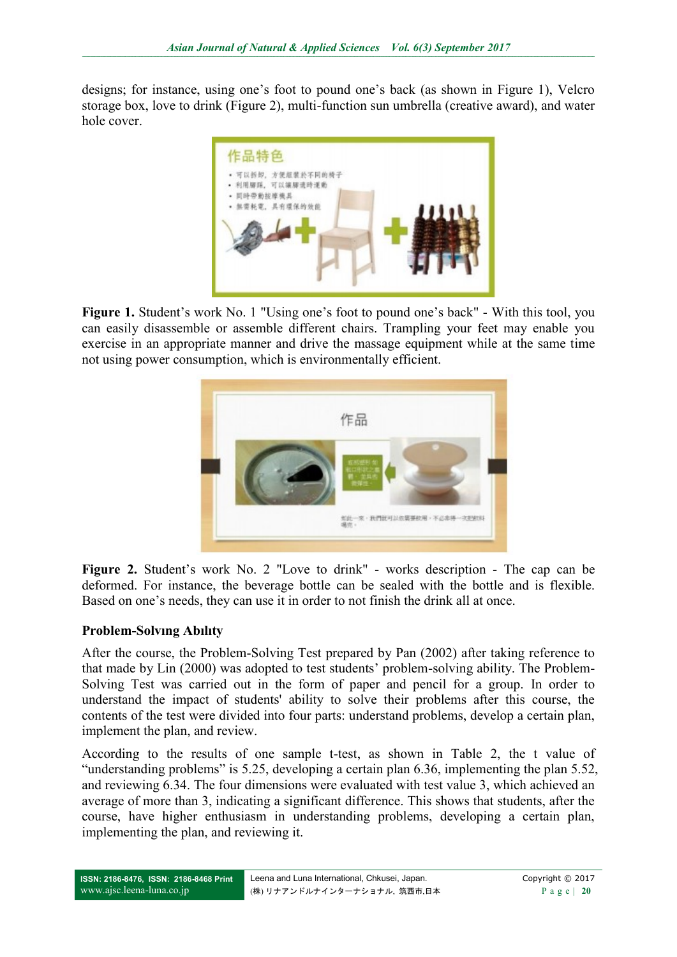designs; for instance, using one's foot to pound one's back (as shown in Figure 1), Velcro storage box, love to drink (Figure 2), multi-function sun umbrella (creative award), and water hole cover.



**Figure 1.** Student's work No. 1 "Using one's foot to pound one's back" - With this tool, you can easily disassemble or assemble different chairs. Trampling your feet may enable you exercise in an appropriate manner and drive the massage equipment while at the same time not using power consumption, which is environmentally efficient.



**Figure 2.** Student's work No. 2 "Love to drink" - works description - The cap can be deformed. For instance, the beverage bottle can be sealed with the bottle and is flexible. Based on one's needs, they can use it in order to not finish the drink all at once.

## **Problem-Solvıng Abılıty**

After the course, the Problem-Solving Test prepared by Pan (2002) after taking reference to that made by Lin (2000) was adopted to test students' problem-solving ability. The Problem-Solving Test was carried out in the form of paper and pencil for a group. In order to understand the impact of students' ability to solve their problems after this course, the contents of the test were divided into four parts: understand problems, develop a certain plan, implement the plan, and review.

According to the results of one sample t-test, as shown in Table 2, the t value of "understanding problems" is 5.25, developing a certain plan 6.36, implementing the plan 5.52, and reviewing 6.34. The four dimensions were evaluated with test value 3, which achieved an average of more than 3, indicating a significant difference. This shows that students, after the course, have higher enthusiasm in understanding problems, developing a certain plan, implementing the plan, and reviewing it.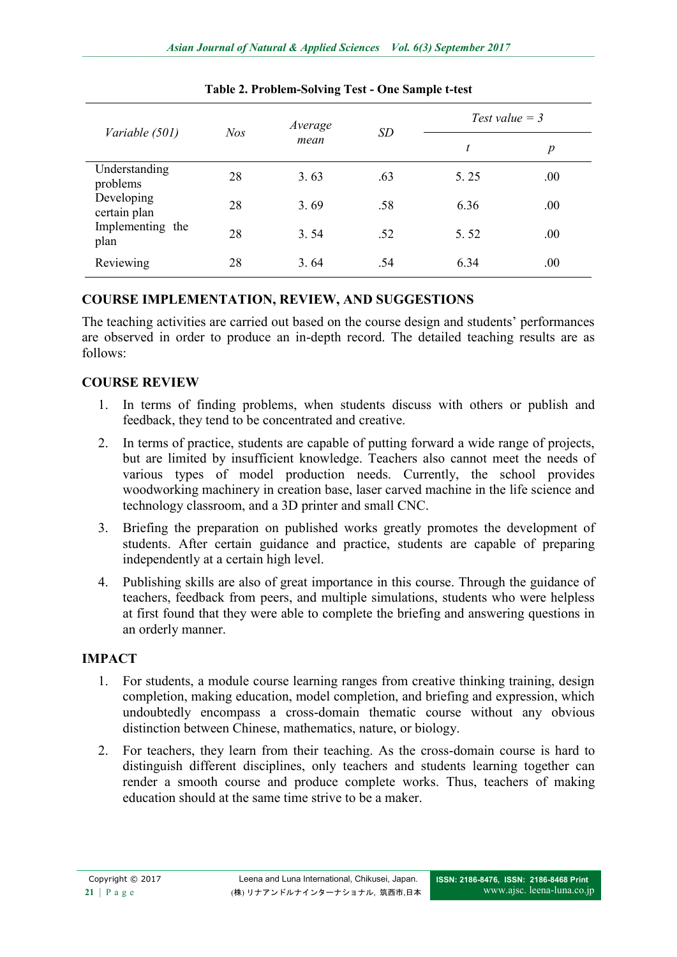| Variable (501)             | Nos | Average<br>mean | <b>SD</b> | Test value $=$ 3 |                  |
|----------------------------|-----|-----------------|-----------|------------------|------------------|
|                            |     |                 |           | t                | $\boldsymbol{p}$ |
| Understanding<br>problems  | 28  | 3.63            | .63       | 5.25             | .00.             |
| Developing<br>certain plan | 28  | 3.69            | .58       | 6.36             | .00.             |
| Implementing the<br>plan   | 28  | 3.54            | .52       | 5.52             | .00.             |
| Reviewing                  | 28  | 3.64            | .54       | 6.34             | .00              |

#### **Table 2. Problem-Solving Test - One Sample t-test**

#### **COURSE IMPLEMENTATION, REVIEW, AND SUGGESTIONS**

The teaching activities are carried out based on the course design and students' performances are observed in order to produce an in-depth record. The detailed teaching results are as follows:

#### **COURSE REVIEW**

- 1. In terms of finding problems, when students discuss with others or publish and feedback, they tend to be concentrated and creative.
- 2. In terms of practice, students are capable of putting forward a wide range of projects, but are limited by insufficient knowledge. Teachers also cannot meet the needs of various types of model production needs. Currently, the school provides woodworking machinery in creation base, laser carved machine in the life science and technology classroom, and a 3D printer and small CNC.
- 3. Briefing the preparation on published works greatly promotes the development of students. After certain guidance and practice, students are capable of preparing independently at a certain high level.
- 4. Publishing skills are also of great importance in this course. Through the guidance of teachers, feedback from peers, and multiple simulations, students who were helpless at first found that they were able to complete the briefing and answering questions in an orderly manner.

## **IMPACT**

- 1. For students, a module course learning ranges from creative thinking training, design completion, making education, model completion, and briefing and expression, which undoubtedly encompass a cross-domain thematic course without any obvious distinction between Chinese, mathematics, nature, or biology.
- 2. For teachers, they learn from their teaching. As the cross-domain course is hard to distinguish different disciplines, only teachers and students learning together can render a smooth course and produce complete works. Thus, teachers of making education should at the same time strive to be a maker.